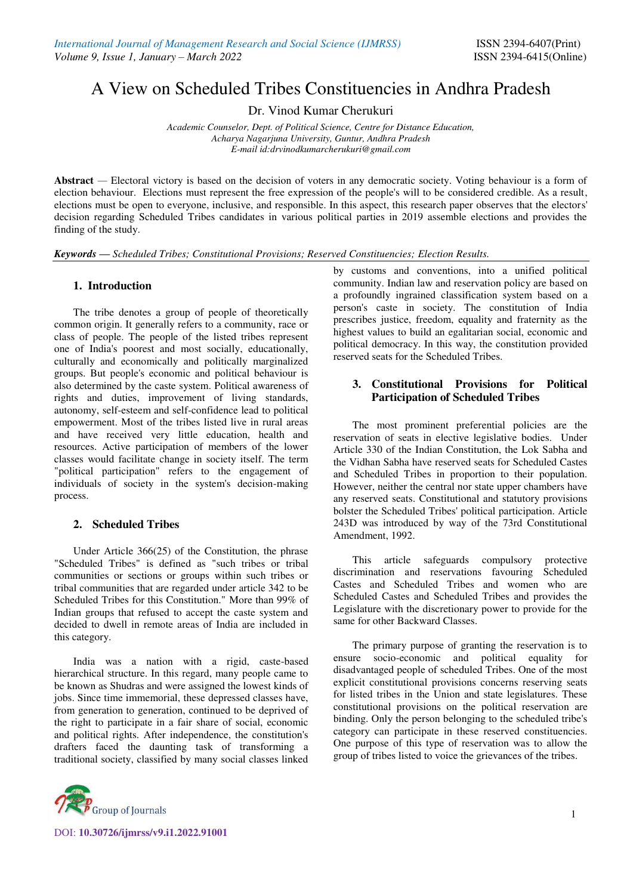# A View on Scheduled Tribes Constituencies in Andhra Pradesh

Dr. Vinod Kumar Cherukuri

*Academic Counselor, Dept. of Political Science, Centre for Distance Education, Acharya Nagarjuna University, Guntur, Andhra Pradesh E-mail id:drvinodkumarcherukuri@gmail.com* 

Abstract — Electoral victory is based on the decision of voters in any democratic society. Voting behaviour is a form of election behaviour. Elections must represent the free expression of the people's will to be considered credible. As a result, elections must be open to everyone, inclusive, and responsible. In this aspect, this research paper observes that the electors' decision regarding Scheduled Tribes candidates in various political parties in 2019 assemble elections and provides the finding of the study.

*Keywords — Scheduled Tribes; Constitutional Provisions; Reserved Constituencies; Election Results.* 

#### **1. Introduction**

The tribe denotes a group of people of theoretically common origin. It generally refers to a community, race or class of people. The people of the listed tribes represent one of India's poorest and most socially, educationally, culturally and economically and politically marginalized groups. But people's economic and political behaviour is also determined by the caste system. Political awareness of rights and duties, improvement of living standards, autonomy, self-esteem and self-confidence lead to political empowerment. Most of the tribes listed live in rural areas and have received very little education, health and resources. Active participation of members of the lower classes would facilitate change in society itself. The term "political participation" refers to the engagement of individuals of society in the system's decision-making process.

#### **2. Scheduled Tribes**

Under Article 366(25) of the Constitution, the phrase "Scheduled Tribes" is defined as "such tribes or tribal communities or sections or groups within such tribes or tribal communities that are regarded under article 342 to be Scheduled Tribes for this Constitution." More than 99% of Indian groups that refused to accept the caste system and decided to dwell in remote areas of India are included in this category.

India was a nation with a rigid, caste-based hierarchical structure. In this regard, many people came to be known as Shudras and were assigned the lowest kinds of jobs. Since time immemorial, these depressed classes have, from generation to generation, continued to be deprived of the right to participate in a fair share of social, economic and political rights. After independence, the constitution's drafters faced the daunting task of transforming a traditional society, classified by many social classes linked



DOI: **10.30726/ijmrss/v9.i1.2022.91001**

by customs and conventions, into a unified political community. Indian law and reservation policy are based on a profoundly ingrained classification system based on a person's caste in society. The constitution of India prescribes justice, freedom, equality and fraternity as the highest values to build an egalitarian social, economic and political democracy. In this way, the constitution provided reserved seats for the Scheduled Tribes.

# **3. Constitutional Provisions for Political Participation of Scheduled Tribes**

The most prominent preferential policies are the reservation of seats in elective legislative bodies. Under Article 330 of the Indian Constitution, the Lok Sabha and the Vidhan Sabha have reserved seats for Scheduled Castes and Scheduled Tribes in proportion to their population. However, neither the central nor state upper chambers have any reserved seats. Constitutional and statutory provisions bolster the Scheduled Tribes' political participation. Article 243D was introduced by way of the 73rd Constitutional Amendment, 1992.

This article safeguards compulsory protective discrimination and reservations favouring Scheduled Castes and Scheduled Tribes and women who are Scheduled Castes and Scheduled Tribes and provides the Legislature with the discretionary power to provide for the same for other Backward Classes.

The primary purpose of granting the reservation is to ensure socio-economic and political equality for disadvantaged people of scheduled Tribes. One of the most explicit constitutional provisions concerns reserving seats for listed tribes in the Union and state legislatures. These constitutional provisions on the political reservation are binding. Only the person belonging to the scheduled tribe's category can participate in these reserved constituencies. One purpose of this type of reservation was to allow the group of tribes listed to voice the grievances of the tribes.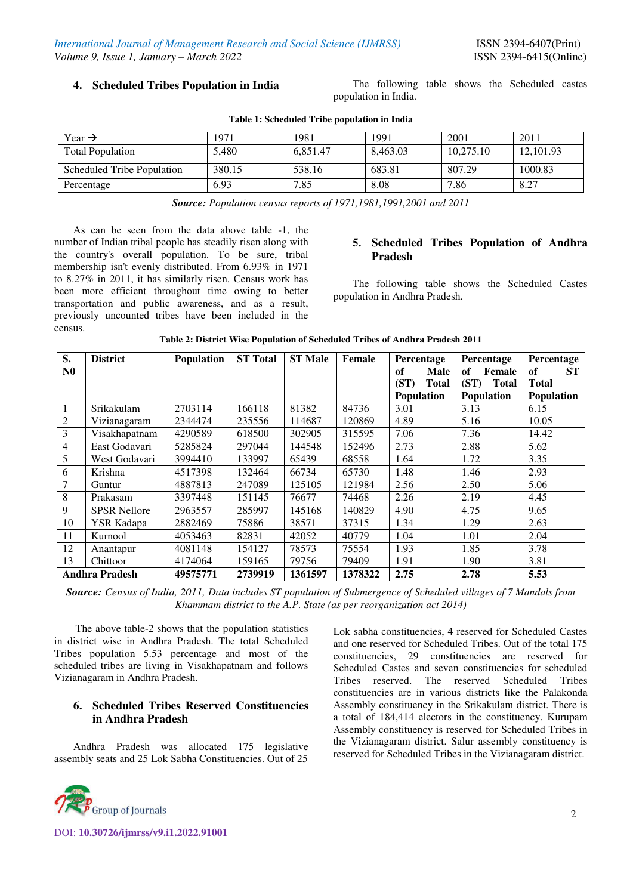**4. Scheduled Tribes Population in India** The following table shows the Scheduled castes population in India.

| Year $\rightarrow$         | 1971   | 1981     | 1991     | 2001      | 2011      |
|----------------------------|--------|----------|----------|-----------|-----------|
| <b>Total Population</b>    | 5.480  | 6.851.47 | 8.463.03 | 10.275.10 | 12,101.93 |
| Scheduled Tribe Population | 380.15 | 538.16   | 683.81   | 807.29    | 1000.83   |
| Percentage                 | 6.93   | 7.85     | 8.08     | 7.86      | 8.27      |

#### **Table 1: Scheduled Tribe population in India**

*Source: Population census reports of 1971,1981,1991,2001 and 2011* 

As can be seen from the data above table -1, the number of Indian tribal people has steadily risen along with the country's overall population. To be sure, tribal membership isn't evenly distributed. From 6.93% in 1971 to 8.27% in 2011, it has similarly risen. Census work has been more efficient throughout time owing to better transportation and public awareness, and as a result, previously uncounted tribes have been included in the census.

#### **5. Scheduled Tribes Population of Andhra Pradesh**

 The following table shows the Scheduled Castes population in Andhra Pradesh.

| S.               | <b>District</b>       | <b>Population</b> | <b>ST Total</b> | <b>ST Male</b> | Female  | Percentage           | Percentage           | Percentage        |
|------------------|-----------------------|-------------------|-----------------|----------------|---------|----------------------|----------------------|-------------------|
| N <sub>0</sub>   |                       |                   |                 |                |         | of<br>Male           | of<br>Female         | <b>ST</b><br>of   |
|                  |                       |                   |                 |                |         | (ST)<br><b>Total</b> | (ST)<br><b>Total</b> | <b>Total</b>      |
|                  |                       |                   |                 |                |         | <b>Population</b>    | <b>Population</b>    | <b>Population</b> |
| 1                | Srikakulam            | 2703114           | 166118          | 81382          | 84736   | 3.01                 | 3.13                 | 6.15              |
| $\boldsymbol{2}$ | Vizianagaram          | 2344474           | 235556          | 114687         | 120869  | 4.89                 | 5.16                 | 10.05             |
| 3                | Visakhapatnam         | 4290589           | 618500          | 302905         | 315595  | 7.06                 | 7.36                 | 14.42             |
| $\overline{4}$   | East Godavari         | 5285824           | 297044          | 144548         | 152496  | 2.73                 | 2.88                 | 5.62              |
| 5                | West Godavari         | 3994410           | 133997          | 65439          | 68558   | 1.64                 | 1.72                 | 3.35              |
| 6                | Krishna               | 4517398           | 132464          | 66734          | 65730   | 1.48                 | 1.46                 | 2.93              |
| 7                | Guntur                | 4887813           | 247089          | 125105         | 121984  | 2.56                 | 2.50                 | 5.06              |
| 8                | Prakasam              | 3397448           | 151145          | 76677          | 74468   | 2.26                 | 2.19                 | 4.45              |
| 9                | <b>SPSR</b> Nellore   | 2963557           | 285997          | 145168         | 140829  | 4.90                 | 4.75                 | 9.65              |
| 10               | <b>YSR Kadapa</b>     | 2882469           | 75886           | 38571          | 37315   | 1.34                 | 1.29                 | 2.63              |
| 11               | Kurnool               | 4053463           | 82831           | 42052          | 40779   | 1.04                 | 1.01                 | 2.04              |
| 12               | Anantapur             | 4081148           | 154127          | 78573          | 75554   | 1.93                 | 1.85                 | 3.78              |
| 13               | Chittoor              | 4174064           | 159165          | 79756          | 79409   | 1.91                 | 1.90                 | 3.81              |
|                  | <b>Andhra Pradesh</b> | 49575771          | 2739919         | 1361597        | 1378322 | 2.75                 | 2.78                 | 5.53              |

*Source: Census of India, 2011, Data includes ST population of Submergence of Scheduled villages of 7 Mandals from Khammam district to the A.P. State (as per reorganization act 2014)* 

The above table-2 shows that the population statistics in district wise in Andhra Pradesh. The total Scheduled Tribes population 5.53 percentage and most of the scheduled tribes are living in Visakhapatnam and follows Vizianagaram in Andhra Pradesh.

### **6. Scheduled Tribes Reserved Constituencies in Andhra Pradesh**

Andhra Pradesh was allocated 175 legislative assembly seats and 25 Lok Sabha Constituencies. Out of 25



Lok sabha constituencies, 4 reserved for Scheduled Castes and one reserved for Scheduled Tribes. Out of the total 175 constituencies, 29 constituencies are reserved for Scheduled Castes and seven constituencies for scheduled Tribes reserved. The reserved Scheduled Tribes constituencies are in various districts like the Palakonda Assembly constituency in the Srikakulam district. There is a total of 184,414 electors in the constituency. Kurupam Assembly constituency is reserved for Scheduled Tribes in the Vizianagaram district. Salur assembly constituency is reserved for Scheduled Tribes in the Vizianagaram district.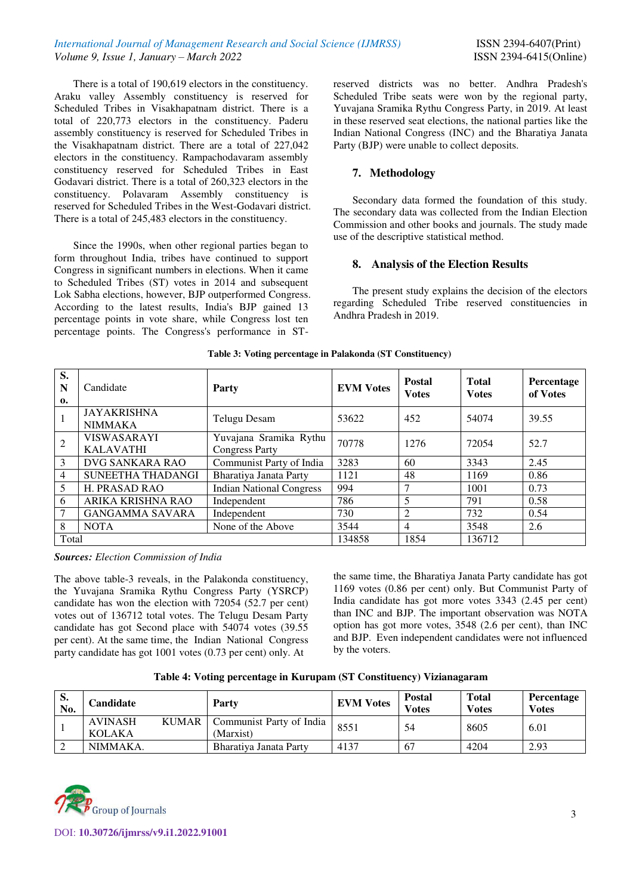*International Journal of Management Research and Social Science (IJMRSS)* ISSN 2394-6407(Print) *Volume 9, Issue 1, January – March 2022* ISSN 2394-6415(Online)

There is a total of 190,619 electors in the constituency. Araku valley Assembly constituency is reserved for Scheduled Tribes in Visakhapatnam district. There is a total of 220,773 electors in the constituency. Paderu assembly constituency is reserved for Scheduled Tribes in the Visakhapatnam district. There are a total of 227,042 electors in the constituency. Rampachodavaram assembly constituency reserved for Scheduled Tribes in East Godavari district. There is a total of 260,323 electors in the constituency. Polavaram Assembly constituency is reserved for Scheduled Tribes in the West-Godavari district. There is a total of 245,483 electors in the constituency.

Since the 1990s, when other regional parties began to form throughout India, tribes have continued to support Congress in significant numbers in elections. When it came to Scheduled Tribes (ST) votes in 2014 and subsequent Lok Sabha elections, however, BJP outperformed Congress. According to the latest results, India's BJP gained 13 percentage points in vote share, while Congress lost ten percentage points. The Congress's performance in ST-

reserved districts was no better. Andhra Pradesh's Scheduled Tribe seats were won by the regional party, Yuvajana Sramika Rythu Congress Party, in 2019. At least in these reserved seat elections, the national parties like the Indian National Congress (INC) and the Bharatiya Janata Party (BJP) were unable to collect deposits.

### **7. Methodology**

 Secondary data formed the foundation of this study. The secondary data was collected from the Indian Election Commission and other books and journals. The study made use of the descriptive statistical method.

## **8. Analysis of the Election Results**

 The present study explains the decision of the electors regarding Scheduled Tribe reserved constituencies in Andhra Pradesh in 2019.

| S.<br>N<br>$\mathbf{0}$ | Candidate                              | Party                                           | <b>EVM Votes</b> | <b>Postal</b><br><b>Votes</b> | <b>Total</b><br><b>Votes</b> | Percentage<br>of Votes |
|-------------------------|----------------------------------------|-------------------------------------------------|------------------|-------------------------------|------------------------------|------------------------|
|                         | <b>JAYAKRISHNA</b><br><b>NIMMAKA</b>   | Telugu Desam                                    | 53622            | 452                           | 54074                        | 39.55                  |
| $\overline{2}$          | <b>VISWASARAYI</b><br><b>KALAVATHI</b> | Yuvajana Sramika Rythu<br><b>Congress Party</b> | 70778            | 1276                          | 72054                        | 52.7                   |
| 3                       | DVG SANKARA RAO                        | Communist Party of India                        | 3283             | 60                            | 3343                         | 2.45                   |
| $\overline{4}$          | SUNEETHA THADANGI                      | Bharatiya Janata Party                          | 1121             | 48                            | 1169                         | 0.86                   |
| 5                       | <b>H. PRASAD RAO</b>                   | <b>Indian National Congress</b>                 | 994              | 7                             | 1001                         | 0.73                   |
| 6                       | ARIKA KRISHNA RAO                      | Independent                                     | 786              | 5                             | 791                          | 0.58                   |
| 7                       | <b>GANGAMMA SAVARA</b>                 | Independent                                     | 730              | 2                             | 732                          | 0.54                   |
| 8                       | <b>NOTA</b>                            | None of the Above                               | 3544             | 4                             | 3548                         | 2.6                    |
| Total                   |                                        |                                                 | 134858           | 1854                          | 136712                       |                        |

#### **Table 3: Voting percentage in Palakonda (ST Constituency)**

*Sources: Election Commission of India*

The above table-3 reveals, in the Palakonda constituency, the Yuvajana Sramika Rythu Congress Party (YSRCP) candidate has won the election with 72054 (52.7 per cent) votes out of 136712 total votes. The Telugu Desam Party candidate has got Second place with 54074 votes (39.55 per cent). At the same time, the Indian National Congress party candidate has got 1001 votes (0.73 per cent) only. At

the same time, the Bharatiya Janata Party candidate has got 1169 votes (0.86 per cent) only. But Communist Party of India candidate has got more votes 3343 (2.45 per cent) than INC and BJP. The important observation was NOTA option has got more votes, 3548 (2.6 per cent), than INC and BJP. Even independent candidates were not influenced by the voters.

|  |  | Table 4: Voting percentage in Kurupam (ST Constituency) Vizianagaram |
|--|--|----------------------------------------------------------------------|
|--|--|----------------------------------------------------------------------|

| S.<br>No. | Candidate                |              | Party                                 | <b>EVM Votes</b> | <b>Postal</b><br><b>Votes</b> | <b>Total</b><br><b>Votes</b> | <b>Percentage</b><br><b>Votes</b> |
|-----------|--------------------------|--------------|---------------------------------------|------------------|-------------------------------|------------------------------|-----------------------------------|
|           | <b>AVINASH</b><br>KOLAKA | <b>KUMAR</b> | Communist Party of India<br>(Marxist) | 8551             | 54                            | 8605                         | 6.01                              |
|           | NIMMAKA.                 |              | Bharativa Janata Party                | 4137             | 67                            | 4204                         | 2.93                              |

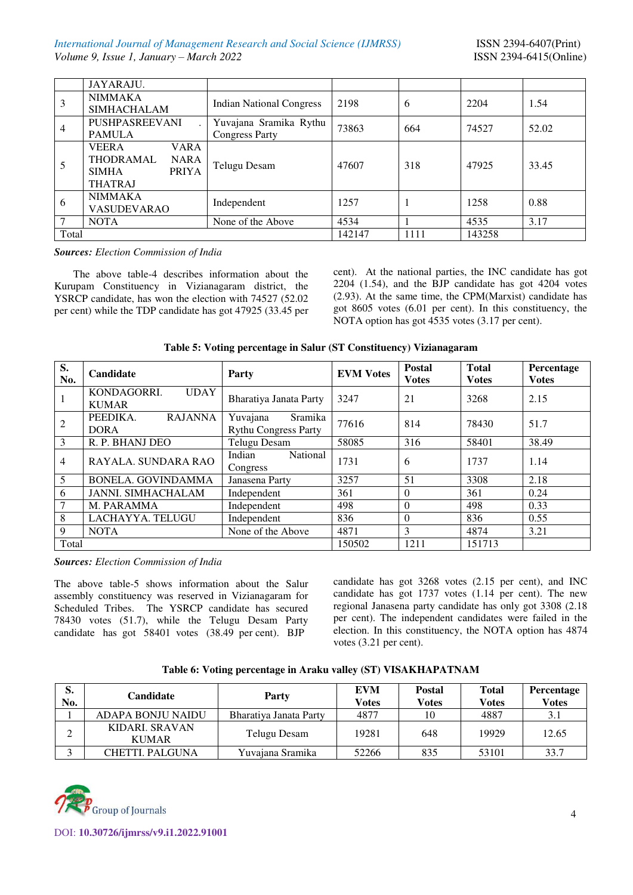|                | JAYARAJU.                                                                                                        |                                                 |        |      |        |       |
|----------------|------------------------------------------------------------------------------------------------------------------|-------------------------------------------------|--------|------|--------|-------|
| 3              | <b>NIMMAKA</b><br><b>SIMHACHALAM</b>                                                                             | <b>Indian National Congress</b>                 | 2198   | 6    | 2204   | 1.54  |
| $\overline{4}$ | <b>PUSHPASREEVANI</b><br><b>PAMULA</b>                                                                           | Yuvajana Sramika Rythu<br><b>Congress Party</b> | 73863  | 664  | 74527  | 52.02 |
| 5              | <b>VEERA</b><br><b>VARA</b><br><b>THODRAMAL</b><br><b>NARA</b><br><b>PRIYA</b><br><b>SIMHA</b><br><b>THATRAJ</b> | Telugu Desam                                    | 47607  | 318  | 47925  | 33.45 |
| 6              | <b>NIMMAKA</b><br><b>VASUDEVARAO</b>                                                                             | Independent                                     | 1257   |      | 1258   | 0.88  |
| $\tau$         | <b>NOTA</b>                                                                                                      | None of the Above                               | 4534   |      | 4535   | 3.17  |
| Total          |                                                                                                                  |                                                 | 142147 | 1111 | 143258 |       |

*Sources: Election Commission of India*

The above table-4 describes information about the Kurupam Constituency in Vizianagaram district, the YSRCP candidate, has won the election with 74527 (52.02 per cent) while the TDP candidate has got 47925 (33.45 per cent). At the national parties, the INC candidate has got 2204 (1.54), and the BJP candidate has got 4204 votes (2.93). At the same time, the CPM(Marxist) candidate has got 8605 votes (6.01 per cent). In this constituency, the NOTA option has got 4535 votes (3.17 per cent).

| Table 5: Voting percentage in Salur (ST Constituency) Vizianagaram |  |  |
|--------------------------------------------------------------------|--|--|
|--------------------------------------------------------------------|--|--|

| S.<br>No.      | Candidate                                  | Party                                              | <b>EVM Votes</b> | <b>Postal</b><br><b>Votes</b> | <b>Total</b><br><b>Votes</b> | Percentage<br><b>Votes</b> |
|----------------|--------------------------------------------|----------------------------------------------------|------------------|-------------------------------|------------------------------|----------------------------|
|                | KONDAGORRI.<br><b>UDAY</b><br><b>KUMAR</b> | Bharatiya Janata Party                             | 3247             | 21                            | 3268                         | 2.15                       |
| 2              | <b>RAJANNA</b><br>PEEDIKA.<br><b>DORA</b>  | Yuvajana<br>Sramika<br><b>Rythu Congress Party</b> | 77616            | 814                           | 78430                        | 51.7                       |
| 3              | R. P. BHANJ DEO                            | Telugu Desam                                       | 58085            | 316                           | 58401                        | 38.49                      |
| $\overline{4}$ | RAYALA. SUNDARA RAO                        | <b>National</b><br>Indian<br>Congress              | 1731             | 6                             | 1737                         | 1.14                       |
| 5              | <b>BONELA. GOVINDAMMA</b>                  | Janasena Party                                     | 3257             | 51                            | 3308                         | 2.18                       |
| 6              | <b>JANNI. SIMHACHALAM</b>                  | Independent                                        | 361              | $\Omega$                      | 361                          | 0.24                       |
| 7              | M. PARAMMA                                 | Independent                                        | 498              | $\Omega$                      | 498                          | 0.33                       |
| 8              | LACHAYYA. TELUGU                           | Independent                                        | 836              | $\Omega$                      | 836                          | 0.55                       |
| 9              | <b>NOTA</b>                                | None of the Above                                  |                  | 3                             | 4874                         | 3.21                       |
| Total          |                                            |                                                    | 150502           | 1211                          | 151713                       |                            |

*Sources: Election Commission of India*

The above table-5 shows information about the Salur assembly constituency was reserved in Vizianagaram for Scheduled Tribes. The YSRCP candidate has secured 78430 votes (51.7), while the Telugu Desam Party candidate has got 58401 votes (38.49 per cent). BJP

candidate has got 3268 votes (2.15 per cent), and INC candidate has got 1737 votes (1.14 per cent). The new regional Janasena party candidate has only got 3308 (2.18 per cent). The independent candidates were failed in the election. In this constituency, the NOTA option has 4874 votes (3.21 per cent).

| Table 6: Voting percentage in Araku valley (ST) VISAKHAPATNAM |  |  |
|---------------------------------------------------------------|--|--|
|---------------------------------------------------------------|--|--|

| S.<br>No. | Candidate                      | Party                  | EVM<br>Votes | <b>Postal</b><br>Votes | <b>Total</b><br>Votes | <b>Percentage</b><br><b>Votes</b> |
|-----------|--------------------------------|------------------------|--------------|------------------------|-----------------------|-----------------------------------|
|           | <b>ADAPA BONJU NAIDU</b>       | Bharatiya Janata Party | 4877         | 10                     | 4887                  | 3.1                               |
| ⌒         | KIDARI, SRAVAN<br><b>KUMAR</b> | Telugu Desam           | 19281        | 648                    | 19929                 | 12.65                             |
| $\sim$    | CHETTI, PALGUNA                | Yuvajana Sramika       | 52266        | 835                    | 53101                 | 33.7                              |

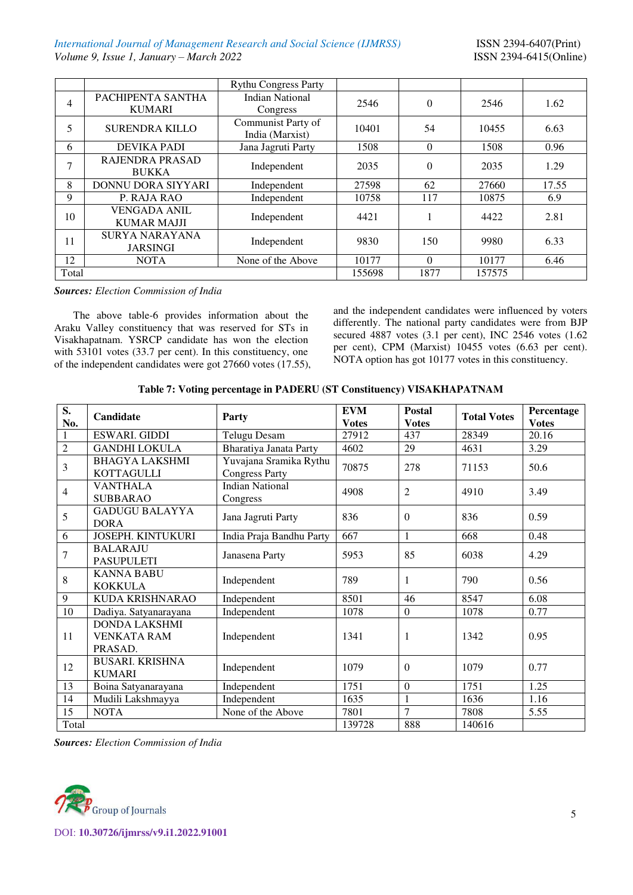*International Journal of Management Research and Social Science (IJMRSS)* ISSN 2394-6407(Print) *Volume 9, Issue 1, January – March 2022* ISSN 2394-6415(Online)

|                |                                    | <b>Rythu Congress Party</b> |        |          |        |       |
|----------------|------------------------------------|-----------------------------|--------|----------|--------|-------|
| $\overline{4}$ | PACHIPENTA SANTHA<br><b>KUMARI</b> | <b>Indian National</b>      | 2546   | $\Omega$ | 2546   | 1.62  |
|                |                                    | Congress                    |        |          |        |       |
| 5              | <b>SURENDRA KILLO</b>              | Communist Party of          | 10401  | 54       | 10455  | 6.63  |
|                |                                    | India (Marxist)             |        |          |        |       |
| 6              | <b>DEVIKA PADI</b>                 | Jana Jagruti Party          | 1508   | $\theta$ | 1508   | 0.96  |
| 7              | RAJENDRA PRASAD                    |                             | 2035   | $\Omega$ | 2035   | 1.29  |
|                | <b>BUKKA</b>                       | Independent                 |        |          |        |       |
| 8              | DONNU DORA SIYYARI                 | Independent                 | 27598  | 62       | 27660  | 17.55 |
| 9              | P. RAJA RAO                        | Independent                 | 10758  | 117      | 10875  | 6.9   |
|                | <b>VENGADA ANIL</b>                |                             |        |          | 4422   |       |
| 10             | <b>KUMAR MAJJI</b>                 | Independent                 | 4421   |          |        | 2.81  |
| 11             | <b>SURYA NARAYANA</b>              |                             | 9830   |          |        |       |
|                | <b>JARSINGI</b>                    | Independent                 |        | 150      | 9980   | 6.33  |
| 12             | <b>NOTA</b>                        | None of the Above           | 10177  | $\Omega$ | 10177  | 6.46  |
| Total          |                                    |                             | 155698 | 1877     | 157575 |       |

*Sources: Election Commission of India*

The above table-6 provides information about the Araku Valley constituency that was reserved for STs in Visakhapatnam. YSRCP candidate has won the election with 53101 votes (33.7 per cent). In this constituency, one of the independent candidates were got 27660 votes (17.55), and the independent candidates were influenced by voters differently. The national party candidates were from BJP secured 4887 votes (3.1 per cent), INC 2546 votes (1.62 per cent), CPM (Marxist) 10455 votes (6.63 per cent). NOTA option has got 10177 votes in this constituency.

| Table 7: Voting percentage in PADERU (ST Constituency) VISAKHAPATNAM |  |  |  |
|----------------------------------------------------------------------|--|--|--|
|----------------------------------------------------------------------|--|--|--|

| S.             | Candidate                            | Party                    | <b>EVM</b>   | <b>Postal</b>    | <b>Total Votes</b> | Percentage   |
|----------------|--------------------------------------|--------------------------|--------------|------------------|--------------------|--------------|
| No.            |                                      |                          | <b>Votes</b> | <b>Votes</b>     |                    | <b>Votes</b> |
| 1              | ESWARI. GIDDI                        | <b>Telugu Desam</b>      | 27912        | 437              | 28349              | 20.16        |
| $\overline{2}$ | <b>GANDHI LOKULA</b>                 | Bharatiya Janata Party   | 4602         | 29               | 4631               | 3.29         |
| 3              | <b>BHAGYA LAKSHMI</b>                | Yuvajana Sramika Rythu   | 70875        | 278              | 71153              | 50.6         |
|                | <b>KOTTAGULLI</b>                    | <b>Congress Party</b>    |              |                  |                    |              |
| $\overline{4}$ | <b>VANTHALA</b>                      | <b>Indian National</b>   | 4908         | $\overline{2}$   | 4910               | 3.49         |
|                | <b>SUBBARAO</b>                      | Congress                 |              |                  |                    |              |
| 5              | <b>GADUGU BALAYYA</b><br><b>DORA</b> | Jana Jagruti Party       | 836          | $\Omega$         | 836                | 0.59         |
| 6              | <b>JOSEPH. KINTUKURI</b>             | India Praja Bandhu Party | 667          | $\mathbf{1}$     | 668                | 0.48         |
| 7              | <b>BALARAJU</b>                      | Janasena Party           | 5953         | 85               | 6038               | 4.29         |
|                | <b>PASUPULETI</b>                    |                          |              |                  |                    |              |
| 8              | <b>KANNA BABU</b>                    | Independent              | 789          | $\mathbf{1}$     | 790                | 0.56         |
|                | <b>KOKKULA</b>                       |                          |              |                  |                    |              |
| 9              | <b>KUDA KRISHNARAO</b>               | Independent              | 8501         | 46               | 8547               | 6.08         |
| 10             | Dadiya. Satyanarayana                | Independent              | 1078         | $\boldsymbol{0}$ | 1078               | 0.77         |
|                | <b>DONDA LAKSHMI</b>                 |                          |              |                  |                    |              |
| 11             | <b>VENKATA RAM</b>                   | Independent              | 1341         | 1                | 1342               | 0.95         |
|                | PRASAD.                              |                          |              |                  |                    |              |
| 12             | <b>BUSARI. KRISHNA</b>               | Independent              | 1079         | $\overline{0}$   | 1079               | 0.77         |
|                | <b>KUMARI</b>                        |                          |              |                  |                    |              |
| 13             | Boina Satyanarayana                  | Independent              | 1751         | $\overline{0}$   | 1751               | 1.25         |
| 14             | Mudili Lakshmayya                    | Independent              | 1635         | 1                | 1636               | 1.16         |
| 15             | <b>NOTA</b>                          | None of the Above        | 7801         | $\overline{7}$   | 7808               | 5.55         |
| Total          |                                      |                          | 139728       | 888              | 140616             |              |

*Sources: Election Commission of India*

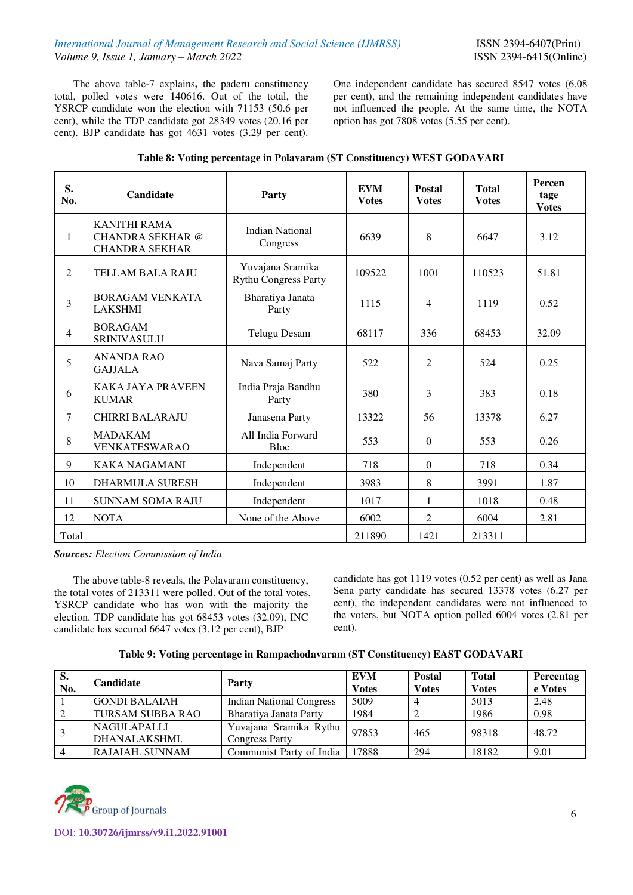The above table-7 explains**,** the paderu constituency total, polled votes were 140616. Out of the total, the YSRCP candidate won the election with 71153 (50.6 per cent), while the TDP candidate got 28349 votes (20.16 per cent). BJP candidate has got 4631 votes (3.29 per cent). One independent candidate has secured 8547 votes (6.08 per cent), and the remaining independent candidates have not influenced the people. At the same time, the NOTA option has got 7808 votes (5.55 per cent).

| S.<br>No.      | Candidate                                                               | Party                                           | <b>EVM</b><br><b>Votes</b> | <b>Postal</b><br><b>Votes</b> | <b>Total</b><br><b>Votes</b> | Percen<br>tage<br><b>Votes</b> |
|----------------|-------------------------------------------------------------------------|-------------------------------------------------|----------------------------|-------------------------------|------------------------------|--------------------------------|
| 1              | <b>KANITHI RAMA</b><br><b>CHANDRA SEKHAR</b> @<br><b>CHANDRA SEKHAR</b> | <b>Indian National</b><br>Congress              | 6639                       | 8                             | 6647                         | 3.12                           |
| $\overline{2}$ | <b>TELLAM BALA RAJU</b>                                                 | Yuvajana Sramika<br><b>Rythu Congress Party</b> | 109522                     | 1001                          | 110523                       | 51.81                          |
| 3              | <b>BORAGAM VENKATA</b><br><b>LAKSHMI</b>                                | Bharatiya Janata<br>Party                       | 1115                       | $\overline{4}$                | 1119                         | 0.52                           |
| $\overline{4}$ | <b>BORAGAM</b><br><b>SRINIVASULU</b>                                    | <b>Telugu Desam</b>                             | 68117                      | 336                           | 68453                        | 32.09                          |
| 5              | <b>ANANDA RAO</b><br><b>GAJJALA</b>                                     | Nava Samaj Party                                | 522                        | $\overline{2}$                | 524                          | 0.25                           |
| 6              | <b>KAKA JAYA PRAVEEN</b><br><b>KUMAR</b>                                | India Praja Bandhu<br>Party                     | 380                        | 3                             | 383                          | 0.18                           |
| $\tau$         | <b>CHIRRI BALARAJU</b>                                                  | Janasena Party                                  | 13322                      | 56                            | 13378                        | 6.27                           |
| 8              | <b>MADAKAM</b><br><b>VENKATESWARAO</b>                                  | All India Forward<br><b>Bloc</b>                | 553                        | $\Omega$                      | 553                          | 0.26                           |
| 9              | <b>KAKA NAGAMANI</b>                                                    | Independent                                     | 718                        | $\theta$                      | 718                          | 0.34                           |
| 10             | <b>DHARMULA SURESH</b>                                                  | Independent                                     | 3983                       | 8                             | 3991                         | 1.87                           |
| 11             | <b>SUNNAM SOMA RAJU</b>                                                 | Independent                                     | 1017                       | 1                             | 1018                         | 0.48                           |
| 12             | <b>NOTA</b>                                                             | None of the Above                               | 6002                       | $\overline{c}$                | 6004                         | 2.81                           |
| Total          |                                                                         |                                                 | 211890                     | 1421                          | 213311                       |                                |

| Table 8: Voting percentage in Polavaram (ST Constituency) WEST GODAVARI |  |  |  |
|-------------------------------------------------------------------------|--|--|--|
|                                                                         |  |  |  |

*Sources: Election Commission of India* 

The above table-8 reveals, the Polavaram constituency, the total votes of 213311 were polled. Out of the total votes, YSRCP candidate who has won with the majority the election. TDP candidate has got 68453 votes (32.09), INC candidate has secured 6647 votes (3.12 per cent), BJP

candidate has got 1119 votes (0.52 per cent) as well as Jana Sena party candidate has secured 13378 votes (6.27 per cent), the independent candidates were not influenced to the voters, but NOTA option polled 6004 votes (2.81 per cent).

| Table 9: Voting percentage in Rampachodavaram (ST Constituency) EAST GODAVARI |  |  |  |  |
|-------------------------------------------------------------------------------|--|--|--|--|
|-------------------------------------------------------------------------------|--|--|--|--|

| S.<br>No. | <b>Candidate</b>                    | Party                                           | <b>EVM</b><br><b>Votes</b> | <b>Postal</b><br><b>Votes</b> | <b>Total</b><br><b>Votes</b> | Percentag<br>e Votes |
|-----------|-------------------------------------|-------------------------------------------------|----------------------------|-------------------------------|------------------------------|----------------------|
|           | <b>GONDI BALAIAH</b>                | <b>Indian National Congress</b>                 | 5009                       |                               | 5013                         | 2.48                 |
|           | <b>TURSAM SUBBA RAO</b>             | Bharatiya Janata Party                          | 1984                       |                               | 1986                         | 0.98                 |
|           | <b>NAGULAPALLI</b><br>DHANALAKSHMI. | Yuvajana Sramika Rythu<br><b>Congress Party</b> | 97853                      | 465                           | 98318                        | 48.72                |
|           | RAJAIAH. SUNNAM                     | Communist Party of India                        | 17888                      | 294                           | 18182                        | 9.01                 |